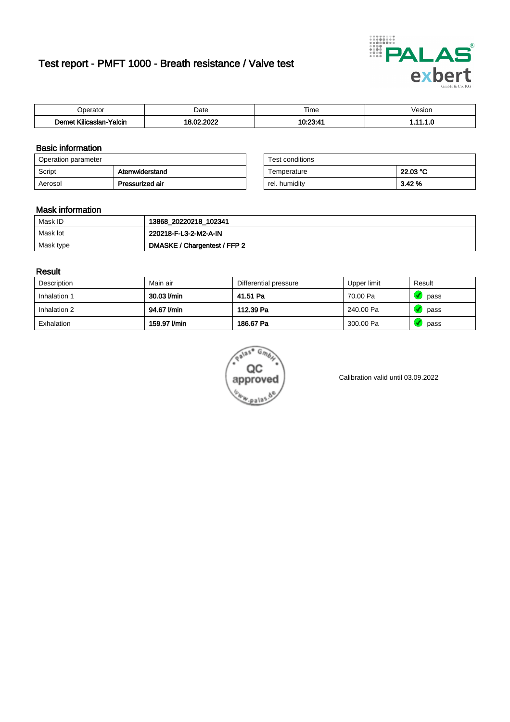# Test report - PMFT 1000 - Breath resistance / Valve test



| n<br>aw                                      | Date | $- \cdot$<br>l ime | esion/ |
|----------------------------------------------|------|--------------------|--------|
| -<br><b>SAMP</b><br>Yalcin<br>aslan<br>Kilic | 000  | 10.00.4            | .      |

### Basic information

| Operation parameter |                 | Test conditions |          |
|---------------------|-----------------|-----------------|----------|
| Script              | Atemwiderstand  | Temperature     | 22.03 °C |
| Aerosol             | Pressurized air | rel. humidity   | 3.42 %   |

| Test conditions |          |
|-----------------|----------|
| Temperature     | 22.03 °C |
| rel. humidity   | 3.42%    |

### Mask information

| Mask ID   | 13868_20220218_102341        |
|-----------|------------------------------|
| Mask lot  | 220218-F-L3-2-M2-A-IN        |
| Mask type | DMASKE / Chargentest / FFP 2 |

### Result

| Description  | Main air     | Differential pressure | Upper limit | Result |
|--------------|--------------|-----------------------|-------------|--------|
| Inhalation 1 | 30.03 l/min  | 41.51 Pa              | 70.00 Pa    | pass   |
| Inhalation 2 | 94.67 l/min  | 112.39 Pa             | 240.00 Pa   | pass   |
| Exhalation   | 159.97 I/min | 186.67 Pa             | 300.00 Pa   | pass   |



Calibration valid until 03.09.2022